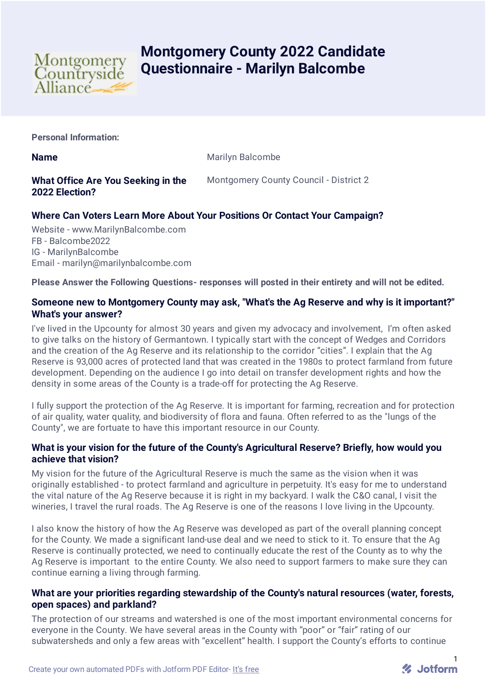

# **Montgomery County 2022 Candidate Questionnaire - Marilyn Balcombe**

**Personal Information:**

**Name** Marilyn Balcombe

# **What Office Are You Seeking in the 2022 Election?**

Montgomery County Council - District 2

# **Where Can Voters Learn More About Your Positions Or Contact Your Campaign?**

Website - www.MarilynBalcombe.com FB - Balcombe2022 IG - MarilynBalcombe Email - marilyn@marilynbalcombe.com

**Please Answer the Following Questions- responses will posted in their entirety and will not be edited.**

# **Someone new to Montgomery County may ask, "What's the Ag Reserve and why is it important?" What's your answer?**

I've lived in the Upcounty for almost 30 years and given my advocacy and involvement, I'm often asked to give talks on the history of Germantown. I typically start with the concept of Wedges and Corridors and the creation of the Ag Reserve and its relationship to the corridor "cities". I explain that the Ag Reserve is 93,000 acres of protected land that was created in the 1980s to protect farmland from future development. Depending on the audience I go into detail on transfer development rights and how the density in some areas of the County is a trade-off for protecting the Ag Reserve.

I fully support the protection of the Ag Reserve. It is important for farming, recreation and for protection of air quality, water quality, and biodiversity of flora and fauna. Often referred to as the "lungs of the County", we are fortuate to have this important resource in our County.

# **What is your vision for the future of the County's Agricultural Reserve? Briefly, how would you achieve that vision?**

My vision for the future of the Agricultural Reserve is much the same as the vision when it was originally established - to protect farmland and agriculture in perpetuity. It's easy for me to understand the vital nature of the Ag Reserve because it is right in my backyard. I walk the C&O canal, I visit the wineries, I travel the rural roads. The Ag Reserve is one of the reasons I love living in the Upcounty.

I also know the history of how the Ag Reserve was developed as part of the overall planning concept for the County. We made a significant land-use deal and we need to stick to it. To ensure that the Ag Reserve is continually protected, we need to continually educate the rest of the County as to why the Ag Reserve is important to the entire County. We also need to support farmers to make sure they can continue earning a living through farming.

### **What are your priorities regarding stewardship of the County's natural resources (water, forests, open spaces) and parkland?**

The protection of our streams and watershed is one of the most important environmental concerns for everyone in the County. We have several areas in the County with "poor" or "fair" rating of our subwatersheds and only a few areas with "excellent" health. I support the County's efforts to continue

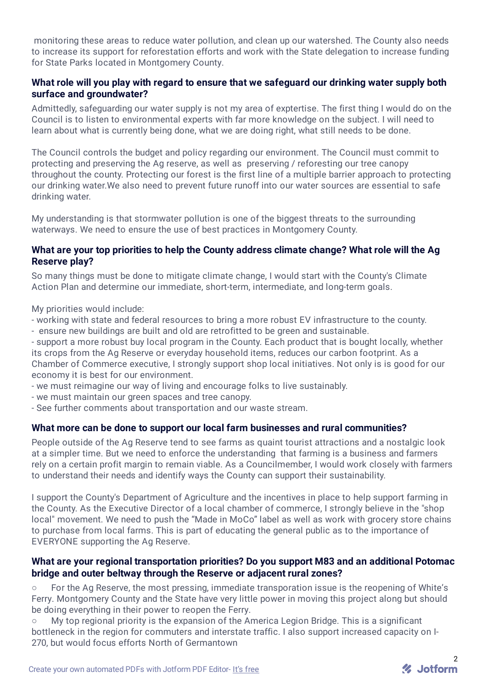monitoring these areas to reduce water pollution, and clean up our watershed. The County also needs to increase its support for reforestation efforts and work with the State delegation to increase funding for State Parks located in Montgomery County.

## **What role will you play with regard to ensure that we safeguard our drinking water supply both surface and groundwater?**

Admittedly, safeguarding our water supply is not my area of exptertise. The first thing I would do on the Council is to listen to environmental experts with far more knowledge on the subject. I will need to learn about what is currently being done, what we are doing right, what still needs to be done.

The Council controls the budget and policy regarding our environment. The Council must commit to protecting and preserving the Ag reserve, as well as preserving / reforesting our tree canopy throughout the county. Protecting our forest is the first line of a multiple barrier approach to protecting our drinking water.We also need to prevent future runoff into our water sources are essential to safe drinking water.

My understanding is that stormwater pollution is one of the biggest threats to the surrounding waterways. We need to ensure the use of best practices in Montgomery County.

#### **What are your top priorities to help the County address climate change? What role will the Ag Reserve play?**

So many things must be done to mitigate climate change, I would start with the County's Climate Action Plan and determine our immediate, short-term, intermediate, and long-term goals.

My priorities would include:

- working with state and federal resources to bring a more robust EV infrastructure to the county.
- ensure new buildings are built and old are retrofitted to be green and sustainable.

- support a more robust buy local program in the County. Each product that is bought locally, whether its crops from the Ag Reserve or everyday household items, reduces our carbon footprint. As a Chamber of Commerce executive, I strongly support shop local initiatives. Not only is is good for our economy it is best for our environment.

- we must reimagine our way of living and encourage folks to live sustainably.
- we must maintain our green spaces and tree canopy.
- See further comments about transportation and our waste stream.

#### **What more can be done to support our local farm businesses and rural communities?**

People outside of the Ag Reserve tend to see farms as quaint tourist attractions and a nostalgic look at a simpler time. But we need to enforce the understanding that farming is a business and farmers rely on a certain profit margin to remain viable. As a Councilmember, I would work closely with farmers to understand their needs and identify ways the County can support their sustainability.

I support the County's Department of Agriculture and the incentives in place to help support farming in the County. As the Executive Director of a local chamber of commerce, I strongly believe in the "shop local" movement. We need to push the "Made in MoCo" label as well as work with grocery store chains to purchase from local farms. This is part of educating the general public as to the importance of EVERYONE supporting the Ag Reserve.

#### **What are your regional transportation priorities? Do you support M83 and an additional Potomac bridge and outer beltway through the Reserve or adjacent rural zones?**

○ For the Ag Reserve, the most pressing, immediate transporation issue is the reopening of White's Ferry. Montgomery County and the State have very little power in moving this project along but should be doing everything in their power to reopen the Ferry.

○ My top regional priority is the expansion of the America Legion Bridge. This is a significant bottleneck in the region for commuters and interstate traffic. I also support increased capacity on I-270, but would focus efforts North of Germantown

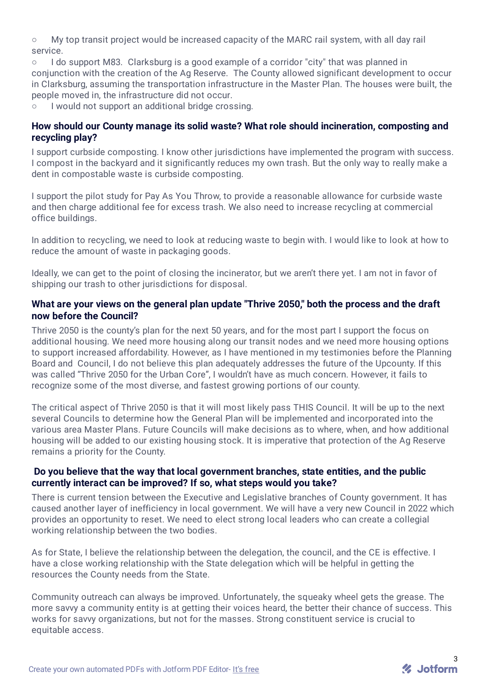○ My top transit project would be increased capacity of the MARC rail system, with all day rail service.

I do support M83. Clarksburg is a good example of a corridor "city" that was planned in conjunction with the creation of the Ag Reserve. The County allowed significant development to occur in Clarksburg, assuming the transportation infrastructure in the Master Plan. The houses were built, the people moved in, the infrastructure did not occur.

○ I would not support an additional bridge crossing.

#### **How should our County manage its solid waste? What role should incineration, composting and recycling play?**

I support curbside composting. I know other jurisdictions have implemented the program with success. I compost in the backyard and it significantly reduces my own trash. But the only way to really make a dent in compostable waste is curbside composting.

I support the pilot study for Pay As You Throw, to provide a reasonable allowance for curbside waste and then charge additional fee for excess trash. We also need to increase recycling at commercial office buildings.

In addition to recycling, we need to look at reducing waste to begin with. I would like to look at how to reduce the amount of waste in packaging goods.

Ideally, we can get to the point of closing the incinerator, but we aren't there yet. I am not in favor of shipping our trash to other jurisdictions for disposal.

#### **What are your views on the general plan update "Thrive 2050," both the process and the draft now before the Council?**

Thrive 2050 is the county's plan for the next 50 years, and for the most part I support the focus on additional housing. We need more housing along our transit nodes and we need more housing options to support increased affordability. However, as I have mentioned in my testimonies before the Planning Board and Council, I do not believe this plan adequately addresses the future of the Upcounty. If this was called "Thrive 2050 for the Urban Core", I wouldn't have as much concern. However, it fails to recognize some of the most diverse, and fastest growing portions of our county.

The critical aspect of Thrive 2050 is that it will most likely pass THIS Council. It will be up to the next several Councils to determine how the General Plan will be implemented and incorporated into the various area Master Plans. Future Councils will make decisions as to where, when, and how additional housing will be added to our existing housing stock. It is imperative that protection of the Ag Reserve remains a priority for the County.

#### **Do you believe that the way that local government branches, state entities, and the public currently interact can be improved? If so, what steps would you take?**

There is current tension between the Executive and Legislative branches of County government. It has caused another layer of inefficiency in local government. We will have a very new Council in 2022 which provides an opportunity to reset. We need to elect strong local leaders who can create a collegial working relationship between the two bodies.

As for State, I believe the relationship between the delegation, the council, and the CE is effective. I have a close working relationship with the State delegation which will be helpful in getting the resources the County needs from the State.

Community outreach can always be improved. Unfortunately, the squeaky wheel gets the grease. The more savvy a community entity is at getting their voices heard, the better their chance of success. This works for savvy organizations, but not for the masses. Strong constituent service is crucial to equitable access.